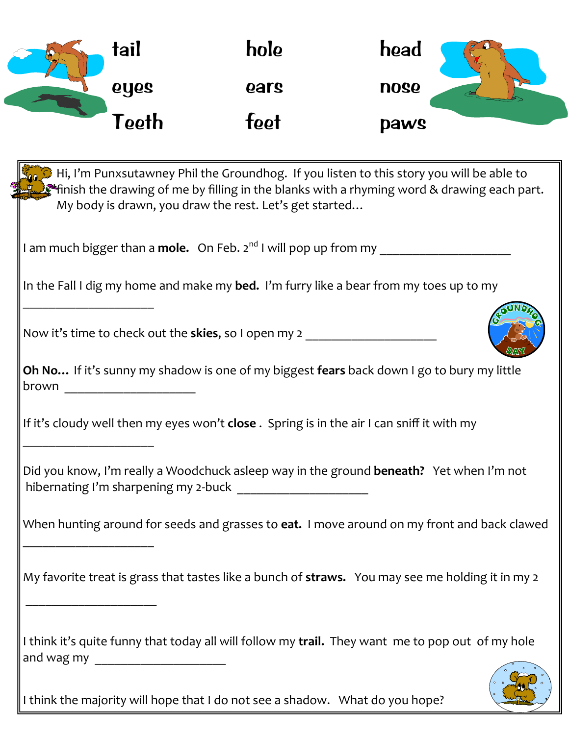| 9, | tail              | hole | head        |
|----|-------------------|------|-------------|
|    | oyes              | ears | <b>nose</b> |
|    | <sup>r</sup> eeth | feet | <b>paws</b> |

| Hi, I'm Punxsutawney Phil the Groundhog. If you listen to this story you will be able to<br>$\mathcal{L}^{\text{sc}}$ finish the drawing of me by filling in the blanks with a rhyming word & drawing each part.<br>My body is drawn, you draw the rest. Let's get started |
|----------------------------------------------------------------------------------------------------------------------------------------------------------------------------------------------------------------------------------------------------------------------------|
| I am much bigger than a <b>mole.</b> On Feb. 2 <sup>nd</sup> I will pop up from my                                                                                                                                                                                         |
| In the Fall I dig my home and make my bed. I'm furry like a bear from my toes up to my                                                                                                                                                                                     |
| Now it's time to check out the <b>skies</b> , so I open my 2 ___________________________                                                                                                                                                                                   |
| Oh No If it's sunny my shadow is one of my biggest fears back down I go to bury my little<br>brown _______________________                                                                                                                                                 |
| If it's cloudy well then my eyes won't close. Spring is in the air I can sniff it with my                                                                                                                                                                                  |
| Did you know, I'm really a Woodchuck asleep way in the ground beneath? Yet when I'm not                                                                                                                                                                                    |
| When hunting around for seeds and grasses to eat. I move around on my front and back clawed                                                                                                                                                                                |
| My favorite treat is grass that tastes like a bunch of straws. You may see me holding it in my 2                                                                                                                                                                           |
| I think it's quite funny that today all will follow my trail. They want me to pop out of my hole                                                                                                                                                                           |

I think the majority will hope that I do not see a shadow. What do you hope?